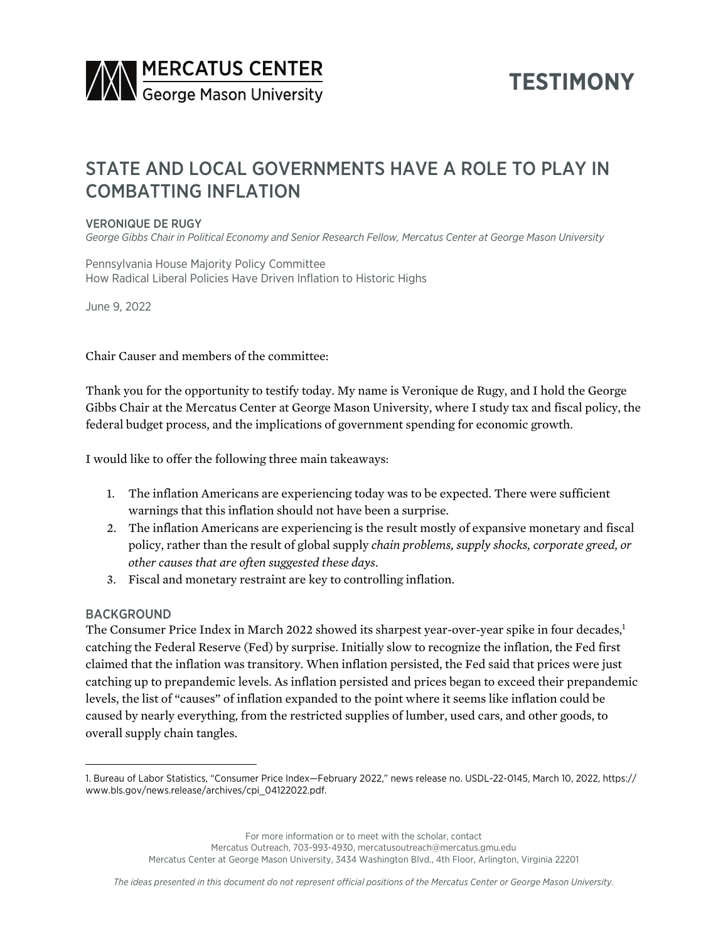

# **TESTIMONY**

# STATE AND LOCAL GOVERNMENTS HAVE A ROLE TO PLAY IN COMBATTING INFLATION

### VERONIQUE DE RUGY

*George Gibbs Chair in Political Economy and Senior Research Fellow, Mercatus Center at George Mason University*

Pennsylvania House Majority Policy Committee How Radical Liberal Policies Have Driven Inflation to Historic Highs

June 9, 2022

Chair Causer and members of the committee:

Thank you for the opportunity to testify today. My name is Veronique de Rugy, and I hold the George Gibbs Chair at the Mercatus Center at George Mason University, where I study tax and fiscal policy, the federal budget process, and the implications of government spending for economic growth.

I would like to offer the following three main takeaways:

- 1. The inflation Americans are experiencing today was to be expected. There were sufficient warnings that this inflation should not have been a surprise.
- 2. The inflation Americans are experiencing is the result mostly of expansive monetary and fiscal policy, rather than the result of global supply *chain problems, supply shocks, corporate greed, or other causes that are often suggested these days*.
- 3. Fiscal and monetary restraint are key to controlling inflation.

### BACKGROUND

The Consumer Price Index in March 2022 showed its sharpest year-over-year spike in four decades,<sup>1</sup> catching the Federal Reserve (Fed) by surprise. Initially slow to recognize the inflation, the Fed first claimed that the inflation was transitory. When inflation persisted, the Fed said that prices were just catching up to prepandemic levels. As inflation persisted and prices began to exceed their prepandemic levels, the list of "causes" of inflation expanded to the point where it seems like inflation could be caused by nearly everything, from the restricted supplies of lumber, used cars, and other goods, to overall supply chain tangles.

For more information or to meet with the scholar, contact

Mercatus Outreach, 703-993-4930, mercatusoutreach@mercatus.gmu.edu

Mercatus Center at George Mason University, 3434 Washington Blvd., 4th Floor, Arlington, Virginia 22201

<sup>1.</sup> Bureau of Labor Statistics, "Consumer Price Index—February 2022," news release no. USDL-22-0145, March 10, 2022, [https://](https://www.bls.gov/news.release/archives/cpi_04122022.pdf) [www.bls.gov/news.release/archives/cpi\\_04122022.pdf](https://www.bls.gov/news.release/archives/cpi_04122022.pdf).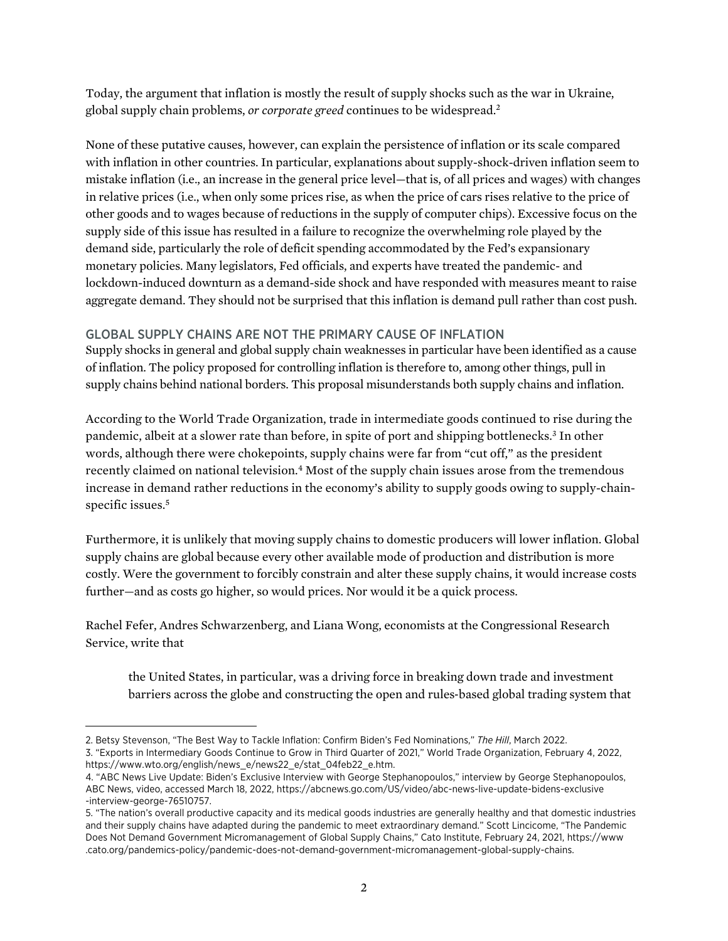Today, the argument that inflation is mostly the result of supply shocks such as the war in Ukraine, global supply chain problems, *or corporate greed* continues to be widespread.2

None of these putative causes, however, can explain the persistence of inflation or its scale compared with inflation in other countries. In particular, explanations about supply-shock-driven inflation seem to mistake inflation (i.e., an increase in the general price level—that is, of all prices and wages) with changes in relative prices (i.e., when only some prices rise, as when the price of cars rises relative to the price of other goods and to wages because of reductions in the supply of computer chips). Excessive focus on the supply side of this issue has resulted in a failure to recognize the overwhelming role played by the demand side, particularly the role of deficit spending accommodated by the Fed's expansionary monetary policies. Many legislators, Fed officials, and experts have treated the pandemic- and lockdown-induced downturn as a demand-side shock and have responded with measures meant to raise aggregate demand. They should not be surprised that this inflation is demand pull rather than cost push.

# GLOBAL SUPPLY CHAINS ARE NOT THE PRIMARY CAUSE OF INFLATION

Supply shocks in general and global supply chain weaknesses in particular have been identified as a cause of inflation. The policy proposed for controlling inflation is therefore to, among other things, pull in supply chains behind national borders. This proposal misunderstands both supply chains and inflation.

According to the World Trade Organization, trade in intermediate goods continued to rise during the pandemic, albeit at a slower rate than before, in spite of port and shipping bottlenecks.3 In other words, although there were chokepoints, supply chains were far from "cut off," as the president recently claimed on national television.<sup>4</sup> Most of the supply chain issues arose from the tremendous increase in demand rather reductions in the economy's ability to supply goods owing to supply-chainspecific issues.<sup>5</sup>

Furthermore, it is unlikely that moving supply chains to domestic producers will lower inflation. Global supply chains are global because every other available mode of production and distribution is more costly. Were the government to forcibly constrain and alter these supply chains, it would increase costs further—and as costs go higher, so would prices. Nor would it be a quick process.

Rachel Fefer, Andres Schwarzenberg, and Liana Wong, economists at the Congressional Research Service, write that

the United States, in particular, was a driving force in breaking down trade and investment barriers across the globe and constructing the open and rules-based global trading system that

<sup>2.</sup> Betsy Stevenson, "The Best Way to Tackle Inflation: Confirm Biden's Fed Nominations," *The Hill*, March 2022. 3. "Exports in Intermediary Goods Continue to Grow in Third Quarter of 2021," World Trade Organization, February 4, 2022, [https://www.wto.org/english/news\\_e/news22\\_e/stat\\_04feb22\\_e.htm.](https://www.wto.org/english/news_e/news22_e/stat_04feb22_e.htm)

<sup>4.</sup> "ABC News Live Update: Biden's Exclusive Interview with George Stephanopoulos," interview by George Stephanopoulos, ABC News, video, accessed March 18, 2022, [https://abcnews.go.com/US/video/abc-news-live-update-bidens-exclusive](https://abcnews.go.com/US/video/abc-news-live-update-bidens-exclusive-interview-george-76510757) [-interview-george-76510757](https://abcnews.go.com/US/video/abc-news-live-update-bidens-exclusive-interview-george-76510757).

<sup>5.</sup> "The nation's overall productive capacity and its medical goods industries are generally healthy and that domestic industries and their supply chains have adapted during the pandemic to meet extraordinary demand." Scott Lincicome, "The Pandemic Does Not Demand Government Micromanagement of Global Supply Chains," Cato Institute, February 24, 2021, [https://www](https://www.cato.org/pandemics-policy/pandemic-does-not-demand-government-micromanagement-global-supply-chains) [.cato.org/pandemics-policy/pandemic-does-not-demand-government-micromanagement-global-supply-chains](https://www.cato.org/pandemics-policy/pandemic-does-not-demand-government-micromanagement-global-supply-chains).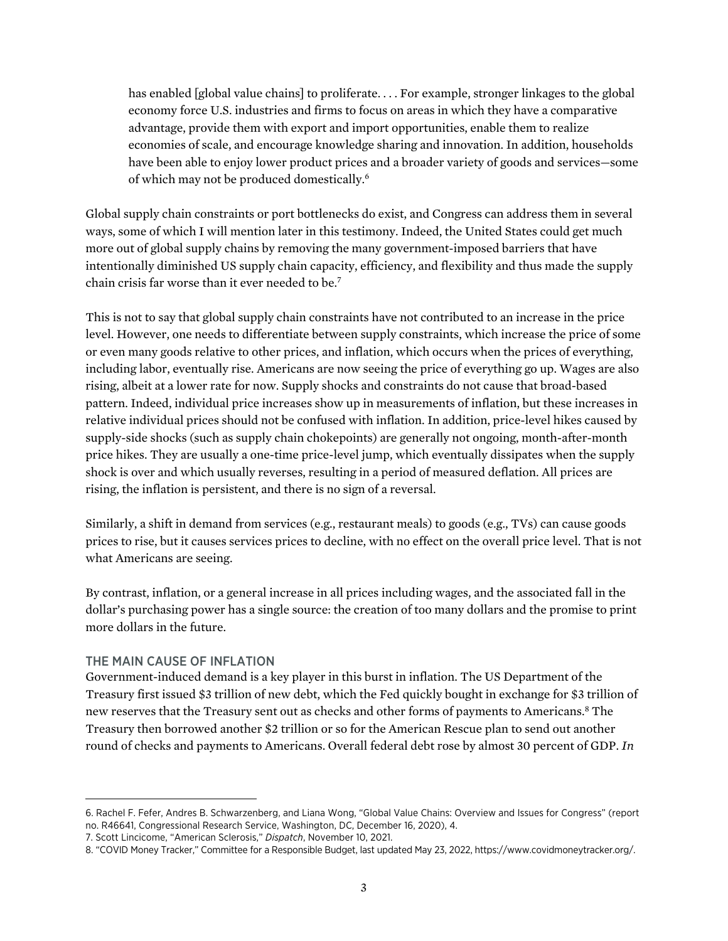has enabled [global value chains] to proliferate. . . . For example, stronger linkages to the global economy force U.S. industries and firms to focus on areas in which they have a comparative advantage, provide them with export and import opportunities, enable them to realize economies of scale, and encourage knowledge sharing and innovation. In addition, households have been able to enjoy lower product prices and a broader variety of goods and services—some of which may not be produced domestically.6

Global supply chain constraints or port bottlenecks do exist, and Congress can address them in several ways, some of which I will mention later in this testimony. Indeed, the United States could get much more out of global supply chains by removing the many government-imposed barriers that have intentionally diminished US supply chain capacity, efficiency, and flexibility and thus made the supply chain crisis far worse than it ever needed to be.7

This is not to say that global supply chain constraints have not contributed to an increase in the price level. However, one needs to differentiate between supply constraints, which increase the price of some or even many goods relative to other prices, and inflation, which occurs when the prices of everything, including labor, eventually rise. Americans are now seeing the price of everything go up. Wages are also rising, albeit at a lower rate for now. Supply shocks and constraints do not cause that broad-based pattern. Indeed, individual price increases show up in measurements of inflation, but these increases in relative individual prices should not be confused with inflation. In addition, price-level hikes caused by supply-side shocks (such as supply chain chokepoints) are generally not ongoing, month-after-month price hikes. They are usually a one-time price-level jump, which eventually dissipates when the supply shock is over and which usually reverses, resulting in a period of measured deflation. All prices are rising, the inflation is persistent, and there is no sign of a reversal.

Similarly, a shift in demand from services (e.g., restaurant meals) to goods (e.g., TVs) can cause goods prices to rise, but it causes services prices to decline, with no effect on the overall price level. That is not what Americans are seeing.

By contrast, inflation, or a general increase in all prices including wages, and the associated fall in the dollar's purchasing power has a single source: the creation of too many dollars and the promise to print more dollars in the future.

### THE MAIN CAUSE OF INFLATION

Government-induced demand is a key player in this burst in inflation. The US Department of the Treasury first issued \$3 trillion of new debt, which the Fed quickly bought in exchange for \$3 trillion of new reserves that the Treasury sent out as checks and other forms of payments to Americans.8 The Treasury then borrowed another \$2 trillion or so for the American Rescue plan to send out another round of checks and payments to Americans. Overall federal debt rose by almost 30 percent of GDP. *In* 

<sup>6.</sup> Rachel F. Fefer, Andres B. Schwarzenberg, and Liana Wong, "Global Value Chains: Overview and Issues for Congress" (report no. R46641, Congressional Research Service, Washington, DC, December 16, 2020), 4.

<sup>7.</sup> Scott Lincicome, "American Sclerosis," *Dispatch*, November 10, 2021.

<sup>8.</sup> "COVID Money Tracker," Committee for a Responsible Budget, last updated May 23, 2022, [https://www.covidmoneytracker.org/.](https://www.covidmoneytracker.org/)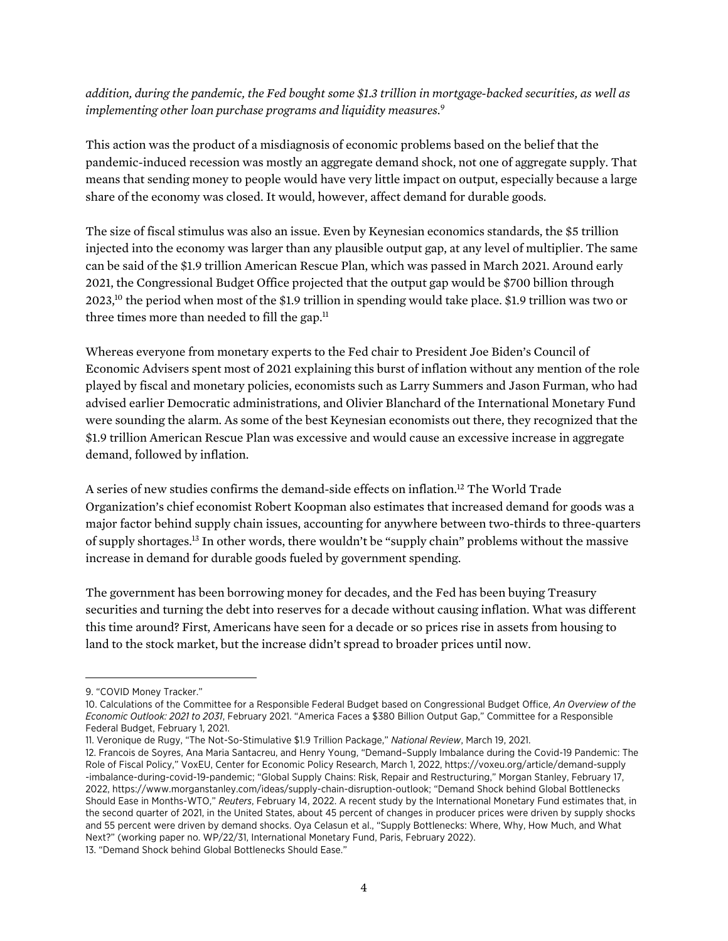*addition, during the pandemic, the Fed bought some \$1.3 trillion in mortgage-backed securities, as well as implementing other loan purchase programs and liquidity measures.*<sup>9</sup>

This action was the product of a misdiagnosis of economic problems based on the belief that the pandemic-induced recession was mostly an aggregate demand shock, not one of aggregate supply. That means that sending money to people would have very little impact on output, especially because a large share of the economy was closed. It would, however, affect demand for durable goods.

The size of fiscal stimulus was also an issue. Even by Keynesian economics standards, the \$5 trillion injected into the economy was larger than any plausible output gap, at any level of multiplier. The same can be said of the \$1.9 trillion American Rescue Plan, which was passed in March 2021. Around early 2021, the Congressional Budget Office projected that the output gap would be \$700 billion through 2023,10 the period when most of the \$1.9 trillion in spending would take place. \$1.9 trillion was two or three times more than needed to fill the gap. $11$ 

Whereas everyone from monetary experts to the Fed chair to President Joe Biden's Council of Economic Advisers spent most of 2021 explaining this burst of inflation without any mention of the role played by fiscal and monetary policies, economists such as Larry Summers and Jason Furman, who had advised earlier Democratic administrations, and Olivier Blanchard of the International Monetary Fund were sounding the alarm. As some of the best Keynesian economists out there, they recognized that the \$1.9 trillion American Rescue Plan was excessive and would cause an excessive increase in aggregate demand, followed by inflation.

A series of new studies confirms the demand-side effects on inflation.12 The World Trade Organization's chief economist Robert Koopman also estimates that increased demand for goods was a major factor behind supply chain issues, accounting for anywhere between two-thirds to three-quarters of supply shortages.13 In other words, there wouldn't be "supply chain" problems without the massive increase in demand for durable goods fueled by government spending.

The government has been borrowing money for decades, and the Fed has been buying Treasury securities and turning the debt into reserves for a decade without causing inflation. What was different this time around? First, Americans have seen for a decade or so prices rise in assets from housing to land to the stock market, but the increase didn't spread to broader prices until now.

<sup>9.</sup> "COVID Money Tracker."

<sup>10.</sup> Calculations of the Committee for a Responsible Federal Budget based on Congressional Budget Office, *An Overview of the Economic Outlook: 2021 to 2031*, February 2021. "America Faces a \$380 Billion Output Gap," Committee for a Responsible Federal Budget, February 1, 2021.

<sup>11.</sup> Veronique de Rugy, "The Not-So-Stimulative \$1.9 Trillion Package," *National Review*, March 19, 2021.

<sup>12.</sup> Francois de Soyres, Ana Maria Santacreu, and Henry Young, "Demand–Supply Imbalance during the Covid-19 Pandemic: The Role of Fiscal Policy," VoxEU, Center for Economic Policy Research, March 1, 2022, [https://voxeu.org/article/demand-supply](https://voxeu.org/article/demand-supply-imbalance-during-covid-19-pandemic) [-imbalance-during-covid-19-pandemic;](https://voxeu.org/article/demand-supply-imbalance-during-covid-19-pandemic) "Global Supply Chains: Risk, Repair and Restructuring," Morgan Stanley, February 17, 2022, [https://www.morganstanley.com/ideas/supply-chain-disruption-outlook;](https://www.morganstanley.com/ideas/supply-chain-disruption-outlook) "Demand Shock behind Global Bottlenecks Should Ease in Months-WTO," *Reuters*, February 14, 2022. A recent study by the International Monetary Fund estimates that, in the second quarter of 2021, in the United States, about 45 percent of changes in producer prices were driven by supply shocks and 55 percent were driven by demand shocks. Oya Celasun et al., "Supply Bottlenecks: Where, Why, How Much, and What Next?" (working paper no. WP/22/31, International Monetary Fund, Paris, February 2022).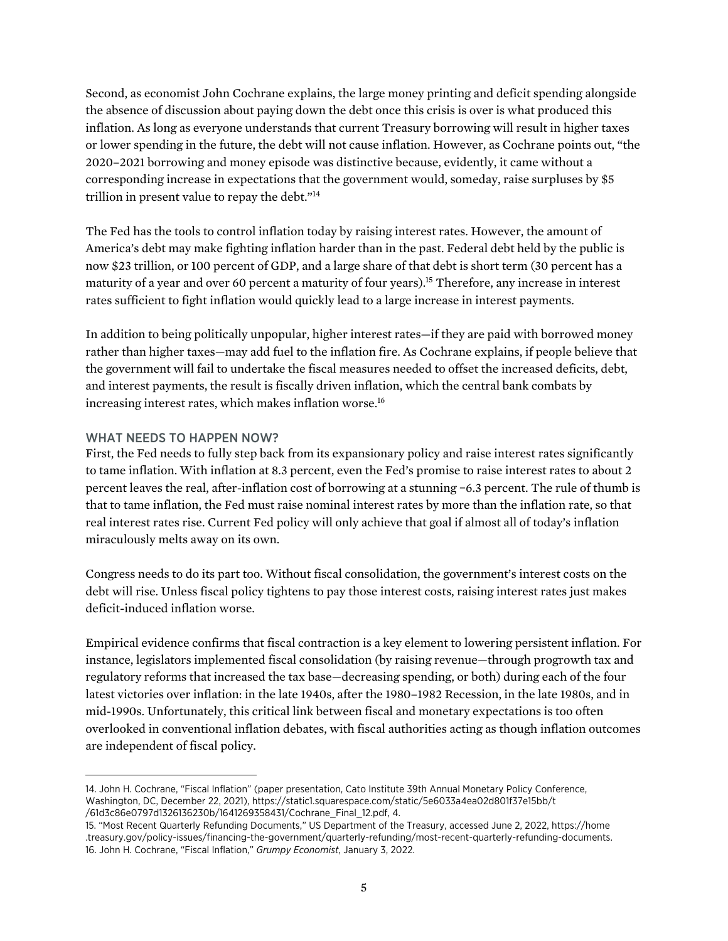Second, as economist John Cochrane explains, the large money printing and deficit spending alongside the absence of discussion about paying down the debt once this crisis is over is what produced this inflation. As long as everyone understands that current Treasury borrowing will result in higher taxes or lower spending in the future, the debt will not cause inflation. However, as Cochrane points out, "the 2020–2021 borrowing and money episode was distinctive because, evidently, it came without a corresponding increase in expectations that the government would, someday, raise surpluses by \$5 trillion in present value to repay the debt."14

The Fed has the tools to control inflation today by raising interest rates. However, the amount of America's debt may make fighting inflation harder than in the past. Federal debt held by the public is now \$23 trillion, or 100 percent of GDP, and a large share of that debt is short term (30 percent has a maturity of a year and over 60 percent a maturity of four years).15 Therefore, any increase in interest rates sufficient to fight inflation would quickly lead to a large increase in interest payments.

In addition to being politically unpopular, higher interest rates—if they are paid with borrowed money rather than higher taxes—may add fuel to the inflation fire. As Cochrane explains, if people believe that the government will fail to undertake the fiscal measures needed to offset the increased deficits, debt, and interest payments, the result is fiscally driven inflation, which the central bank combats by increasing interest rates, which makes inflation worse.<sup>16</sup>

# WHAT NEEDS TO HAPPEN NOW?

First, the Fed needs to fully step back from its expansionary policy and raise interest rates significantly to tame inflation. With inflation at 8.3 percent, even the Fed's promise to raise interest rates to about 2 percent leaves the real, after-inflation cost of borrowing at a stunning −6.3 percent. The rule of thumb is that to tame inflation, the Fed must raise nominal interest rates by more than the inflation rate, so that real interest rates rise. Current Fed policy will only achieve that goal if almost all of today's inflation miraculously melts away on its own.

Congress needs to do its part too. Without fiscal consolidation, the government's interest costs on the debt will rise. Unless fiscal policy tightens to pay those interest costs, raising interest rates just makes deficit-induced inflation worse.

Empirical evidence confirms that fiscal contraction is a key element to lowering persistent inflation. For instance, legislators implemented fiscal consolidation (by raising revenue—through progrowth tax and regulatory reforms that increased the tax base—decreasing spending, or both) during each of the four latest victories over inflation: in the late 1940s, after the 1980–1982 Recession, in the late 1980s, and in mid-1990s. Unfortunately, this critical link between fiscal and monetary expectations is too often overlooked in conventional inflation debates, with fiscal authorities acting as though inflation outcomes are independent of fiscal policy.

<sup>14.</sup> John H. Cochrane, "Fiscal Inflation" (paper presentation, Cato Institute 39th Annual Monetary Policy Conference, Washington, DC, December 22, 2021), [https://static1.squarespace.com/static/5e6033a4ea02d801f37e15bb/t](https://static1.squarespace.com/static/5e6033a4ea02d801f37e15bb/t/61d3c86e0797d1326136230b/1641269358431/Cochrane_Final_12.pdf) [/61d3c86e0797d1326136230b/1641269358431/Cochrane\\_Final\\_12.pdf](https://static1.squarespace.com/static/5e6033a4ea02d801f37e15bb/t/61d3c86e0797d1326136230b/1641269358431/Cochrane_Final_12.pdf), 4.

<sup>15.</sup> "Most Recent Quarterly Refunding Documents," US Department of the Treasury, accessed June 2, 2022, [https://home](https://home.treasury.gov/policy-issues/financing-the-government/quarterly-refunding/most-recent-quarterly-refunding-documents) [.treasury.gov/policy-issues/financing-the-government/quarterly-refunding/most-recent-quarterly-refunding-documents.](https://home.treasury.gov/policy-issues/financing-the-government/quarterly-refunding/most-recent-quarterly-refunding-documents) 16. John H. Cochrane, "Fiscal Inflation," *Grumpy Economist*, January 3, 2022.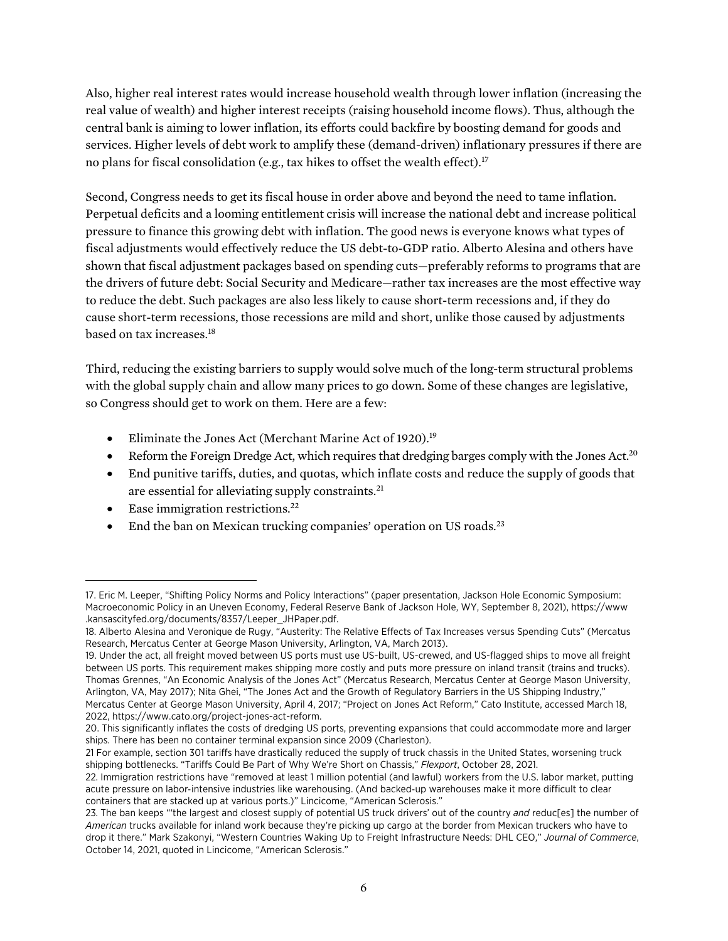Also, higher real interest rates would increase household wealth through lower inflation (increasing the real value of wealth) and higher interest receipts (raising household income flows). Thus, although the central bank is aiming to lower inflation, its efforts could backfire by boosting demand for goods and services. Higher levels of debt work to amplify these (demand-driven) inflationary pressures if there are no plans for fiscal consolidation (e.g., tax hikes to offset the wealth effect).<sup>17</sup>

Second, Congress needs to get its fiscal house in order above and beyond the need to tame inflation. Perpetual deficits and a looming entitlement crisis will increase the national debt and increase political pressure to finance this growing debt with inflation. The good news is everyone knows what types of fiscal adjustments would effectively reduce the US debt-to-GDP ratio. Alberto Alesina and others have shown that fiscal adjustment packages based on spending cuts—preferably reforms to programs that are the drivers of future debt: Social Security and Medicare—rather tax increases are the most effective way to reduce the debt. Such packages are also less likely to cause short-term recessions and, if they do cause short-term recessions, those recessions are mild and short, unlike those caused by adjustments based on tax increases.18

Third, reducing the existing barriers to supply would solve much of the long-term structural problems with the global supply chain and allow many prices to go down. Some of these changes are legislative, so Congress should get to work on them. Here are a few:

- Eliminate the Jones Act (Merchant Marine Act of 1920).<sup>19</sup>
- Reform the Foreign Dredge Act, which requires that dredging barges comply with the Jones Act.<sup>20</sup>
- End punitive tariffs, duties, and quotas, which inflate costs and reduce the supply of goods that are essential for alleviating supply constraints.<sup>21</sup>
- Ease immigration restrictions.<sup>22</sup>
- End the ban on Mexican trucking companies' operation on US roads. $^{23}$

<sup>17.</sup> Eric M. Leeper, "Shifting Policy Norms and Policy Interactions" (paper presentation, Jackson Hole Economic Symposium: Macroeconomic Policy in an Uneven Economy, Federal Reserve Bank of Jackson Hole, WY, September 8, 2021), [https://www](https://www.kansascityfed.org/documents/8357/Leeper_JHPaper.pdf) [.kansascityfed.org/documents/8357/Leeper\\_JHPaper.pdf](https://www.kansascityfed.org/documents/8357/Leeper_JHPaper.pdf).

<sup>18.</sup> Alberto Alesina and Veronique de Rugy, "Austerity: The Relative Effects of Tax Increases versus Spending Cuts" (Mercatus Research, Mercatus Center at George Mason University, Arlington, VA, March 2013).

<sup>19.</sup> Under the act, all freight moved between US ports must use US-built, US-crewed, and US-flagged ships to move all freight between US ports. This requirement makes shipping more costly and puts more pressure on inland transit (trains and trucks). Thomas Grennes, "An Economic Analysis of the Jones Act" (Mercatus Research, Mercatus Center at George Mason University, Arlington, VA, May 2017); Nita Ghei, "The Jones Act and the Growth of Regulatory Barriers in the US Shipping Industry," Mercatus Center at George Mason University, April 4, 2017; "Project on Jones Act Reform," Cato Institute, accessed March 18, 2022, [https://www.cato.org/project-jones-act-reform.](https://www.cato.org/project-jones-act-reform)

<sup>20.</sup> This significantly inflates the costs of dredging US ports, preventing expansions that could accommodate more and larger ships. There has been no container terminal expansion since 2009 (Charleston).

<sup>21</sup> For example, section 301 tariffs have drastically reduced the supply of truck chassis in the United States, worsening truck shipping bottlenecks. "Tariffs Could Be Part of Why We're Short on Chassis," *Flexport*, October 28, 2021.

<sup>22.</sup> Immigration restrictions have "removed at least 1 million potential (and lawful) workers from the U.S. labor market, putting acute pressure on labor-intensive industries like warehousing. (And backed-up warehouses make it more difficult to clear containers that are stacked up at various ports.)" Lincicome, "American Sclerosis."

<sup>23.</sup> The ban keeps "'the largest and closest supply of potential US truck drivers' out of the country *and* reduc[es] the number of *American* trucks available for inland work because they're picking up cargo at the border from Mexican truckers who have to drop it there." Mark Szakonyi, "Western Countries Waking Up to Freight Infrastructure Needs: DHL CEO," *Journal of Commerce*, October 14, 2021, quoted in Lincicome, "American Sclerosis."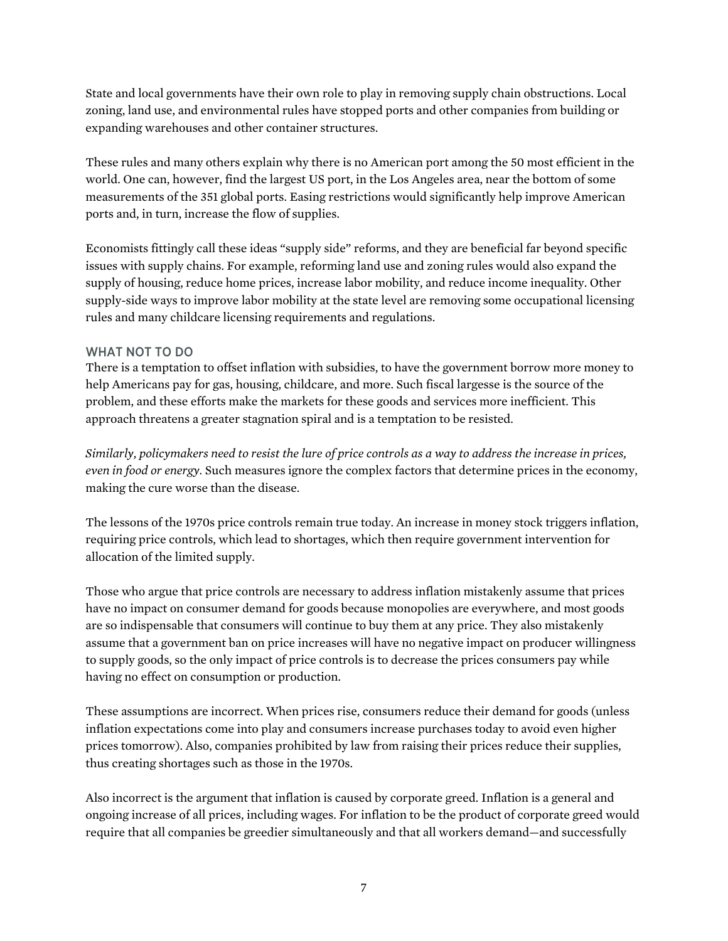State and local governments have their own role to play in removing supply chain obstructions. Local zoning, land use, and environmental rules have stopped ports and other companies from building or expanding warehouses and other container structures.

These rules and many others explain why there is no American port among the 50 most efficient in the world. One can, however, find the largest US port, in the Los Angeles area, near the bottom of some measurements of the 351 global ports. Easing restrictions would significantly help improve American ports and, in turn, increase the flow of supplies.

Economists fittingly call these ideas "supply side" reforms, and they are beneficial far beyond specific issues with supply chains. For example, reforming land use and zoning rules would also expand the supply of housing, reduce home prices, increase labor mobility, and reduce income inequality. Other supply-side ways to improve labor mobility at the state level are removing some occupational licensing rules and many childcare licensing requirements and regulations.

# WHAT NOT TO DO

There is a temptation to offset inflation with subsidies, to have the government borrow more money to help Americans pay for gas, housing, childcare, and more. Such fiscal largesse is the source of the problem, and these efforts make the markets for these goods and services more inefficient. This approach threatens a greater stagnation spiral and is a temptation to be resisted.

*Similarly, policymakers need to resist the lure of price controls as a way to address the increase in prices, even in food or energy.* Such measures ignore the complex factors that determine prices in the economy, making the cure worse than the disease.

The lessons of the 1970s price controls remain true today. An increase in money stock triggers inflation, requiring price controls, which lead to shortages, which then require government intervention for allocation of the limited supply.

Those who argue that price controls are necessary to address inflation mistakenly assume that prices have no impact on consumer demand for goods because monopolies are everywhere, and most goods are so indispensable that consumers will continue to buy them at any price. They also mistakenly assume that a government ban on price increases will have no negative impact on producer willingness to supply goods, so the only impact of price controls is to decrease the prices consumers pay while having no effect on consumption or production.

These assumptions are incorrect. When prices rise, consumers reduce their demand for goods (unless inflation expectations come into play and consumers increase purchases today to avoid even higher prices tomorrow). Also, companies prohibited by law from raising their prices reduce their supplies, thus creating shortages such as those in the 1970s.

Also incorrect is the argument that inflation is caused by corporate greed. Inflation is a general and ongoing increase of all prices, including wages. For inflation to be the product of corporate greed would require that all companies be greedier simultaneously and that all workers demand—and successfully